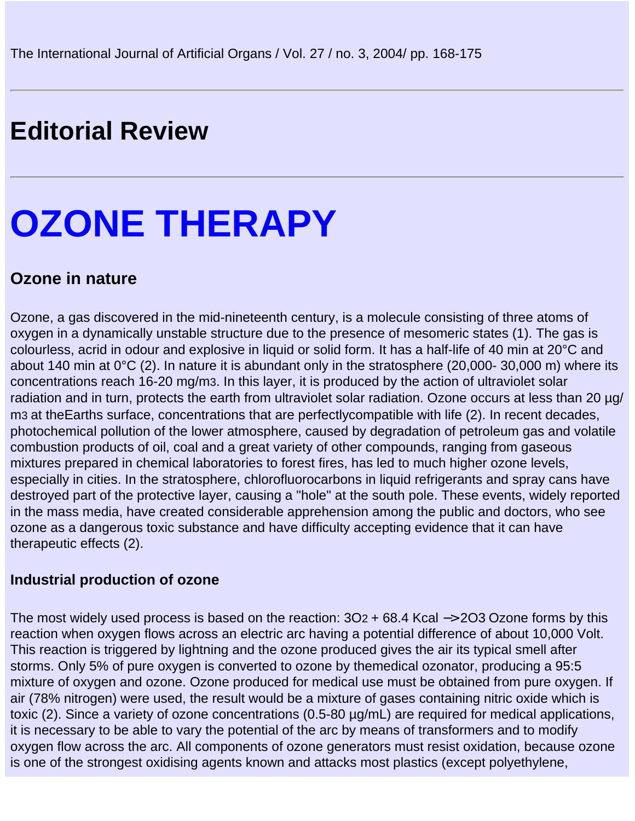# **Editorial Review**

# **OZONE THERAPY**

# **Ozone in nature**

Ozone, a gas discovered in the mid-nineteenth century, is a molecule consisting of three atoms of oxygen in a dynamically unstable structure due to the presence of mesomeric states (1). The gas is colourless, acrid in odour and explosive in liquid or solid form. It has a half-life of 40 min at 20°C and about 140 min at 0°C (2). In nature it is abundant only in the stratosphere (20,000- 30,000 m) where its concentrations reach 16-20 mg/m3. In this layer, it is produced by the action of ultraviolet solar radiation and in turn, protects the earth from ultraviolet solar radiation. Ozone occurs at less than 20 µg/ m3 at theEarth s surface, concentrations that are perfectlycompatible with life (2). In recent decades, photochemical pollution of the lower atmosphere, caused by degradation of petroleum gas and volatile combustion products of oil, coal and a great variety of other compounds, ranging from gaseous mixtures prepared in chemical laboratories to forest fires, has led to much higher ozone levels, especially in cities. In the stratosphere, chlorofluorocarbons in liquid refrigerants and spray cans have destroyed part of the protective layer, causing a "hole" at the south pole. These events, widely reported in the mass media, have created considerable apprehension among the public and doctors, who see ozone as a dangerous toxic substance and have difficulty accepting evidence that it can have therapeutic effects (2).

#### **Industrial production of ozone**

The most widely used process is based on the reaction:  $3O<sub>2</sub>$  + 68.4 Kcal −> 2O3 Ozone forms by this reaction when oxygen flows across an electric arc having a potential difference of about 10,000 Volt. This reaction is triggered by lightning and the ozone produced gives the air its typical smell after storms. Only 5% of pure oxygen is converted to ozone by themedical ozonator, producing a 95:5 mixture of oxygen and ozone. Ozone produced for medical use must be obtained from pure oxygen. If air (78% nitrogen) were used, the result would be a mixture of gases containing nitric oxide which is toxic (2). Since a variety of ozone concentrations (0.5-80 µg/mL) are required for medical applications, it is necessary to be able to vary the potential of the arc by means of transformers and to modify oxygen flow across the arc. All components of ozone generators must resist oxidation, because ozone is one of the strongest oxidising agents known and attacks most plastics (except polyethylene,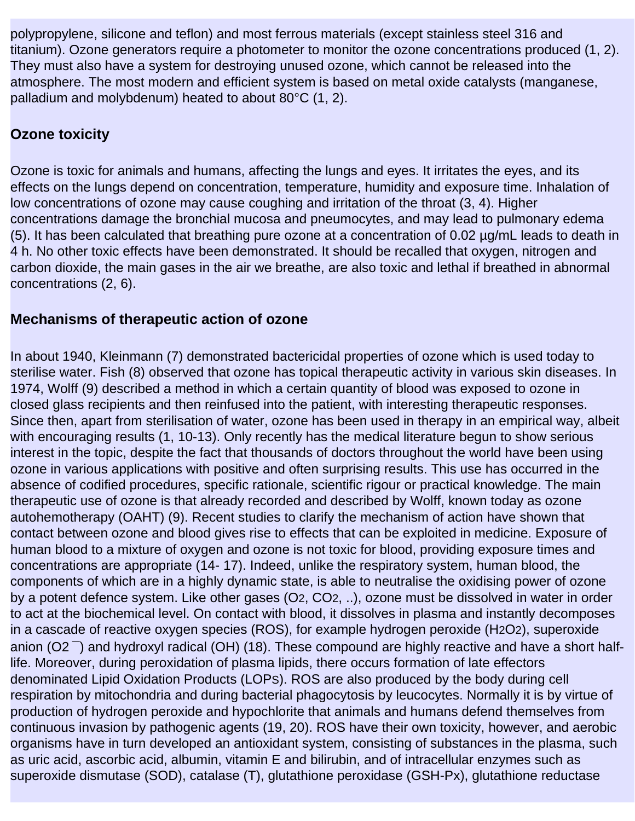polypropylene, silicone and teflon) and most ferrous materials (except stainless steel 316 and titanium). Ozone generators require a photometer to monitor the ozone concentrations produced (1, 2). They must also have a system for destroying unused ozone, which cannot be released into the atmosphere. The most modern and efficient system is based on metal oxide catalysts (manganese, palladium and molybdenum) heated to about 80°C (1, 2).

#### **Ozone toxicity**

Ozone is toxic for animals and humans, affecting the lungs and eyes. It irritates the eyes, and its effects on the lungs depend on concentration, temperature, humidity and exposure time. Inhalation of low concentrations of ozone may cause coughing and irritation of the throat (3, 4). Higher concentrations damage the bronchial mucosa and pneumocytes, and may lead to pulmonary edema (5). It has been calculated that breathing pure ozone at a concentration of 0.02 µg/mL leads to death in 4 h. No other toxic effects have been demonstrated. It should be recalled that oxygen, nitrogen and carbon dioxide, the main gases in the air we breathe, are also toxic and lethal if breathed in abnormal concentrations (2, 6).

#### **Mechanisms of therapeutic action of ozone**

In about 1940, Kleinmann (7) demonstrated bactericidal properties of ozone which is used today to sterilise water. Fish (8) observed that ozone has topical therapeutic activity in various skin diseases. In 1974, Wolff (9) described a method in which a certain quantity of blood was exposed to ozone in closed glass recipients and then reinfused into the patient, with interesting therapeutic responses. Since then, apart from sterilisation of water, ozone has been used in therapy in an empirical way, albeit with encouraging results (1, 10-13). Only recently has the medical literature begun to show serious interest in the topic, despite the fact that thousands of doctors throughout the world have been using ozone in various applications with positive and often surprising results. This use has occurred in the absence of codified procedures, specific rationale, scientific rigour or practical knowledge. The main therapeutic use of ozone is that already recorded and described by Wolff, known today as ozone autohemotherapy (OAHT) (9). Recent studies to clarify the mechanism of action have shown that contact between ozone and blood gives rise to effects that can be exploited in medicine. Exposure of human blood to a mixture of oxygen and ozone is not toxic for blood, providing exposure times and concentrations are appropriate (14- 17). Indeed, unlike the respiratory system, human blood, the components of which are in a highly dynamic state, is able to neutralise the oxidising power of ozone by a potent defence system. Like other gases (O2, CO2, ..), ozone must be dissolved in water in order to act at the biochemical level. On contact with blood, it dissolves in plasma and instantly decomposes in a cascade of reactive oxygen species (ROS), for example hydrogen peroxide (H2O2), superoxide anion (O2<sup>-</sup>) and hydroxyl radical (OH) (18). These compound are highly reactive and have a short halflife. Moreover, during peroxidation of plasma lipids, there occurs formation of late effectors denominated Lipid Oxidation Products (LOPS). ROS are also produced by the body during cell respiration by mitochondria and during bacterial phagocytosis by leucocytes. Normally it is by virtue of production of hydrogen peroxide and hypochlorite that animals and humans defend themselves from continuous invasion by pathogenic agents (19, 20). ROS have their own toxicity, however, and aerobic organisms have in turn developed an antioxidant system, consisting of substances in the plasma, such as uric acid, ascorbic acid, albumin, vitamin E and bilirubin, and of intracellular enzymes such as superoxide dismutase (SOD), catalase (T), glutathione peroxidase (GSH-Px), glutathione reductase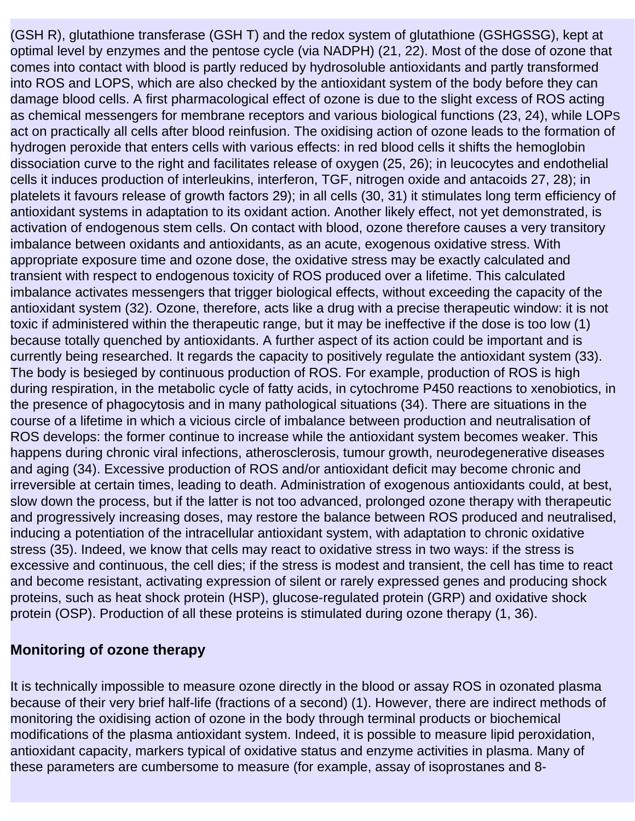(GSH R), glutathione transferase (GSH T) and the redox system of glutathione (GSHGSSG), kept at optimal level by enzymes and the pentose cycle (via NADPH) (21, 22). Most of the dose of ozone that comes into contact with blood is partly reduced by hydrosoluble antioxidants and partly transformed into ROS and LOPS, which are also checked by the antioxidant system of the body before they can damage blood cells. A first pharmacological effect of ozone is due to the slight excess of ROS acting as chemical messengers for membrane receptors and various biological functions (23, 24), while LOPS act on practically all cells after blood reinfusion. The oxidising action of ozone leads to the formation of hydrogen peroxide that enters cells with various effects: in red blood cells it shifts the hemoglobin dissociation curve to the right and facilitates release of oxygen (25, 26); in leucocytes and endothelial cells it induces production of interleukins, interferon, TGF, nitrogen oxide and antacoids 27, 28); in platelets it favours release of growth factors 29); in all cells (30, 31) it stimulates long term efficiency of antioxidant systems in adaptation to its oxidant action. Another likely effect, not yet demonstrated, is activation of endogenous stem cells. On contact with blood, ozone therefore causes a very transitory imbalance between oxidants and antioxidants, as an acute, exogenous oxidative stress. With appropriate exposure time and ozone dose, the oxidative stress may be exactly calculated and transient with respect to endogenous toxicity of ROS produced over a lifetime. This calculated imbalance activates messengers that trigger biological effects, without exceeding the capacity of the antioxidant system (32). Ozone, therefore, acts like a drug with a precise therapeutic window: it is not toxic if administered within the therapeutic range, but it may be ineffective if the dose is too low (1) because totally quenched by antioxidants. A further aspect of its action could be important and is currently being researched. It regards the capacity to positively regulate the antioxidant system (33). The body is besieged by continuous production of ROS. For example, production of ROS is high during respiration, in the metabolic cycle of fatty acids, in cytochrome P450 reactions to xenobiotics, in the presence of phagocytosis and in many pathological situations (34). There are situations in the course of a lifetime in which a vicious circle of imbalance between production and neutralisation of ROS develops: the former continue to increase while the antioxidant system becomes weaker. This happens during chronic viral infections, atherosclerosis, tumour growth, neurodegenerative diseases and aging (34). Excessive production of ROS and/or antioxidant deficit may become chronic and irreversible at certain times, leading to death. Administration of exogenous antioxidants could, at best, slow down the process, but if the latter is not too advanced, prolonged ozone therapy with therapeutic and progressively increasing doses, may restore the balance between ROS produced and neutralised, inducing a potentiation of the intracellular antioxidant system, with adaptation to chronic oxidative stress (35). Indeed, we know that cells may react to oxidative stress in two ways: if the stress is excessive and continuous, the cell dies; if the stress is modest and transient, the cell has time to react and become resistant, activating expression of silent or rarely expressed genes and producing shock proteins, such as heat shock protein (HSP), glucose-regulated protein (GRP) and oxidative shock protein (OSP). Production of all these proteins is stimulated during ozone therapy (1, 36).

#### **Monitoring of ozone therapy**

It is technically impossible to measure ozone directly in the blood or assay ROS in ozonated plasma because of their very brief half-life (fractions of a second) (1). However, there are indirect methods of monitoring the oxidising action of ozone in the body through terminal products or biochemical modifications of the plasma antioxidant system. Indeed, it is possible to measure lipid peroxidation, antioxidant capacity, markers typical of oxidative status and enzyme activities in plasma. Many of these parameters are cumbersome to measure (for example, assay of isoprostanes and 8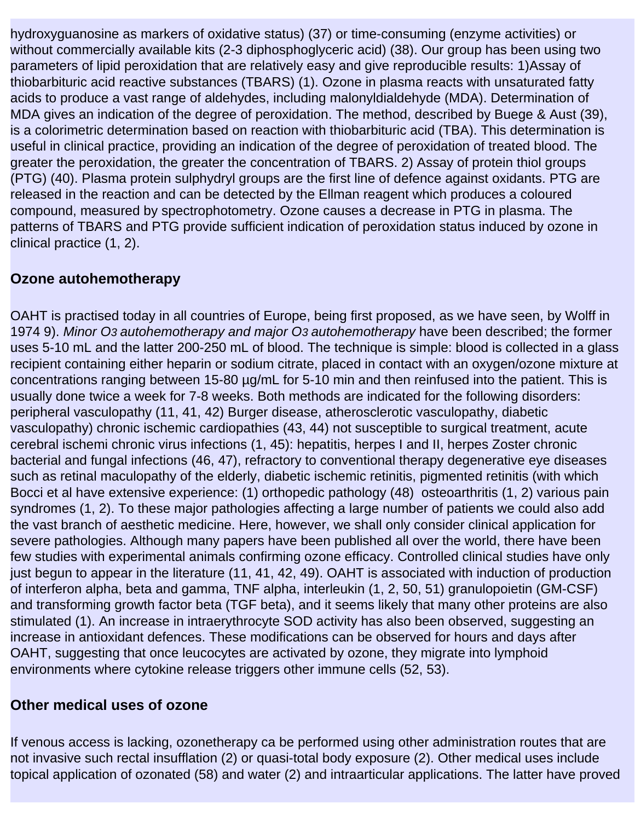hydroxyguanosine as markers of oxidative status) (37) or time-consuming (enzyme activities) or without commercially available kits (2-3 diphosphoglyceric acid) (38). Our group has been using two parameters of lipid peroxidation that are relatively easy and give reproducible results: 1)Assay of thiobarbituric acid reactive substances (TBARS) (1). Ozone in plasma reacts with unsaturated fatty acids to produce a vast range of aldehydes, including malonyldialdehyde (MDA). Determination of MDA gives an indication of the degree of peroxidation. The method, described by Buege & Aust (39), is a colorimetric determination based on reaction with thiobarbituric acid (TBA). This determination is useful in clinical practice, providing an indication of the degree of peroxidation of treated blood. The greater the peroxidation, the greater the concentration of TBARS. 2) Assay of protein thiol groups (PTG) (40). Plasma protein sulphydryl groups are the first line of defence against oxidants. PTG are released in the reaction and can be detected by the Ellman reagent which produces a coloured compound, measured by spectrophotometry. Ozone causes a decrease in PTG in plasma. The patterns of TBARS and PTG provide sufficient indication of peroxidation status induced by ozone in clinical practice (1, 2).

### **Ozone autohemotherapy**

OAHT is practised today in all countries of Europe, being first proposed, as we have seen, by Wolff in 1974 9). *Minor O3 autohemotherapy and major O3 autohemotherapy* have been described; the former uses 5-10 mL and the latter 200-250 mL of blood. The technique is simple: blood is collected in a glass recipient containing either heparin or sodium citrate, placed in contact with an oxygen/ozone mixture at concentrations ranging between 15-80 µg/mL for 5-10 min and then reinfused into the patient. This is usually done twice a week for 7-8 weeks. Both methods are indicated for the following disorders: peripheral vasculopathy (11, 41, 42) Burger disease, atherosclerotic vasculopathy, diabetic vasculopathy) chronic ischemic cardiopathies (43, 44) not susceptible to surgical treatment, acute cerebral ischemi chronic virus infections (1, 45): hepatitis, herpes I and II, herpes Zoster chronic bacterial and fungal infections (46, 47), refractory to conventional therapy degenerative eye diseases such as retinal maculopathy of the elderly, diabetic ischemic retinitis, pigmented retinitis (with which Bocci et al have extensive experience: (1) orthopedic pathology (48) osteoarthritis (1, 2) various pain syndromes (1, 2). To these major pathologies affecting a large number of patients we could also add the vast branch of aesthetic medicine. Here, however, we shall only consider clinical application for severe pathologies. Although many papers have been published all over the world, there have been few studies with experimental animals confirming ozone efficacy. Controlled clinical studies have only just begun to appear in the literature (11, 41, 42, 49). OAHT is associated with induction of production of interferon alpha, beta and gamma, TNF alpha, interleukin (1, 2, 50, 51) granulopoietin (GM-CSF) and transforming growth factor beta (TGF beta), and it seems likely that many other proteins are also stimulated (1). An increase in intraerythrocyte SOD activity has also been observed, suggesting an increase in antioxidant defences. These modifications can be observed for hours and days after OAHT, suggesting that once leucocytes are activated by ozone, they migrate into lymphoid environments where cytokine release triggers other immune cells (52, 53).

#### **Other medical uses of ozone**

If venous access is lacking, ozonetherapy ca be performed using other administration routes that are not invasive such rectal insufflation (2) or quasi-total body exposure (2). Other medical uses include topical application of ozonated (58) and water (2) and intraarticular applications. The latter have proved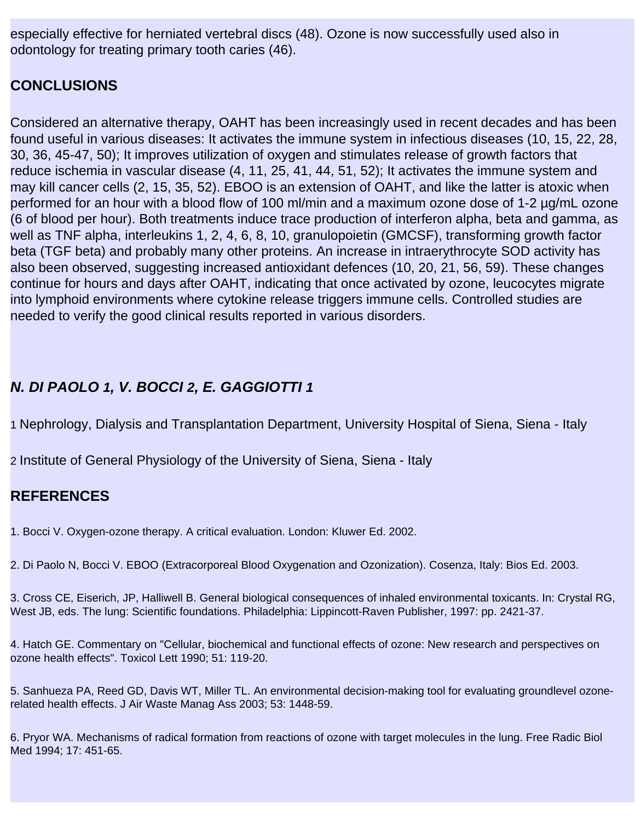especially effective for herniated vertebral discs (48). Ozone is now successfully used also in odontology for treating primary tooth caries (46).

#### **CONCLUSIONS**

Considered an alternative therapy, OAHT has been increasingly used in recent decades and has been found useful in various diseases: It activates the immune system in infectious diseases (10, 15, 22, 28, 30, 36, 45-47, 50); It improves utilization of oxygen and stimulates release of growth factors that reduce ischemia in vascular disease (4, 11, 25, 41, 44, 51, 52); It activates the immune system and may kill cancer cells (2, 15, 35, 52). EBOO is an extension of OAHT, and like the latter is atoxic when performed for an hour with a blood flow of 100 ml/min and a maximum ozone dose of 1-2 µg/mL ozone (6 of blood per hour). Both treatments induce trace production of interferon alpha, beta and gamma, as well as TNF alpha, interleukins 1, 2, 4, 6, 8, 10, granulopoietin (GMCSF), transforming growth factor beta (TGF beta) and probably many other proteins. An increase in intraerythrocyte SOD activity has also been observed, suggesting increased antioxidant defences (10, 20, 21, 56, 59). These changes continue for hours and days after OAHT, indicating that once activated by ozone, leucocytes migrate into lymphoid environments where cytokine release triggers immune cells. Controlled studies are needed to verify the good clinical results reported in various disorders.

# *N. DI PAOLO 1, V. BOCCI 2, E. GAGGIOTTI 1*

1 Nephrology, Dialysis and Transplantation Department, University Hospital of Siena, Siena - Italy

2 Institute of General Physiology of the University of Siena, Siena - Italy

# **REFERENCES**

1. Bocci V. Oxygen-ozone therapy. A critical evaluation. London: Kluwer Ed. 2002.

2. Di Paolo N, Bocci V. EBOO (Extracorporeal Blood Oxygenation and Ozonization). Cosenza, Italy: Bios Ed. 2003.

3. Cross CE, Eiserich, JP, Halliwell B. General biological consequences of inhaled environmental toxicants. In: Crystal RG, West JB, eds. The lung: Scientific foundations. Philadelphia: Lippincott-Raven Publisher, 1997: pp. 2421-37.

4. Hatch GE. Commentary on "Cellular, biochemical and functional effects of ozone: New research and perspectives on ozone health effects". Toxicol Lett 1990; 51: 119-20.

5. Sanhueza PA, Reed GD, Davis WT, Miller TL. An environmental decision-making tool for evaluating groundlevel ozonerelated health effects. J Air Waste Manag Ass 2003; 53: 1448-59.

6. Pryor WA. Mechanisms of radical formation from reactions of ozone with target molecules in the lung. Free Radic Biol Med 1994; 17: 451-65.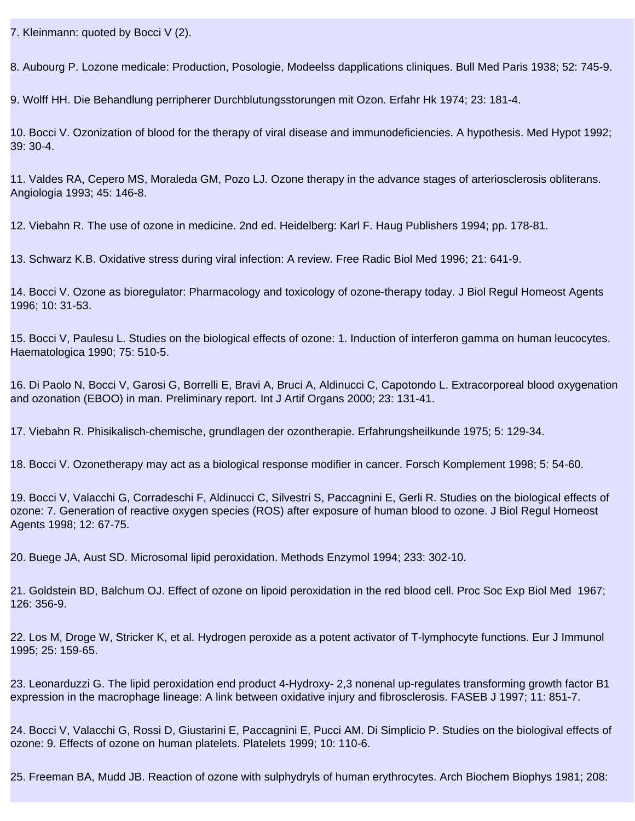7. Kleinmann: quoted by Bocci V (2).

8. Aubourg P. L ozone medicale: Production, Posologie, Modeelss d applications cliniques. Bull Med Paris 1938; 52: 745-9.

9. Wolff HH. Die Behandlung perripherer Durchblutungsstorungen mit Ozon. Erfahr Hk 1974; 23: 181-4.

10. Bocci V. Ozonization of blood for the therapy of viral disease and immunodeficiencies. A hypothesis. Med Hypot 1992; 39: 30-4.

11. Valdes RA, Cepero MS, Moraleda GM, Pozo LJ. Ozone therapy in the advance stages of arteriosclerosis obliterans. Angiologia 1993; 45: 146-8.

12. Viebahn R. The use of ozone in medicine. 2nd ed. Heidelberg: Karl F. Haug Publishers 1994; pp. 178-81.

13. Schwarz K.B. Oxidative stress during viral infection: A review. Free Radic Biol Med 1996; 21: 641-9.

14. Bocci V. Ozone as bioregulator: Pharmacology and toxicology of ozone-therapy today. J Biol Regul Homeost Agents 1996; 10: 31-53.

15. Bocci V, Paulesu L. Studies on the biological effects of ozone: 1. Induction of interferon gamma on human leucocytes. Haematologica 1990; 75: 510-5.

16. Di Paolo N, Bocci V, Garosi G, Borrelli E, Bravi A, Bruci A, Aldinucci C, Capotondo L. Extracorporeal blood oxygenation and ozonation (EBOO) in man. Preliminary report. Int J Artif Organs 2000; 23: 131-41.

17. Viebahn R. Phisikalisch-chemische, grundlagen der ozontherapie. Erfahrungsheilkunde 1975; 5: 129-34.

18. Bocci V. Ozonetherapy may act as a biological response modifier in cancer. Forsch Komplement 1998; 5: 54-60.

19. Bocci V, Valacchi G, Corradeschi F, Aldinucci C, Silvestri S, Paccagnini E, Gerli R. Studies on the biological effects of ozone: 7. Generation of reactive oxygen species (ROS) after exposure of human blood to ozone. J Biol Regul Homeost Agents 1998; 12: 67-75.

20. Buege JA, Aust SD. Microsomal lipid peroxidation. Methods Enzymol 1994; 233: 302-10.

21. Goldstein BD, Balchum OJ. Effect of ozone on lipoid peroxidation in the red blood cell. Proc Soc Exp Biol Med 1967; 126: 356-9.

22. Los M, Droge W, Stricker K, et al. Hydrogen peroxide as a potent activator of T-lymphocyte functions. Eur J Immunol 1995; 25: 159-65.

23. Leonarduzzi G. The lipid peroxidation end product 4-Hydroxy- 2,3 nonenal up-regulates transforming growth factor B1 expression in the macrophage lineage: A link between oxidative injury and fibrosclerosis. FASEB J 1997; 11: 851-7.

24. Bocci V, Valacchi G, Rossi D, Giustarini E, Paccagnini E, Pucci AM. Di Simplicio P. Studies on the biologival effects of ozone: 9. Effects of ozone on human platelets. Platelets 1999; 10: 110-6.

25. Freeman BA, Mudd JB. Reaction of ozone with sulphydryls of human erythrocytes. Arch Biochem Biophys 1981; 208: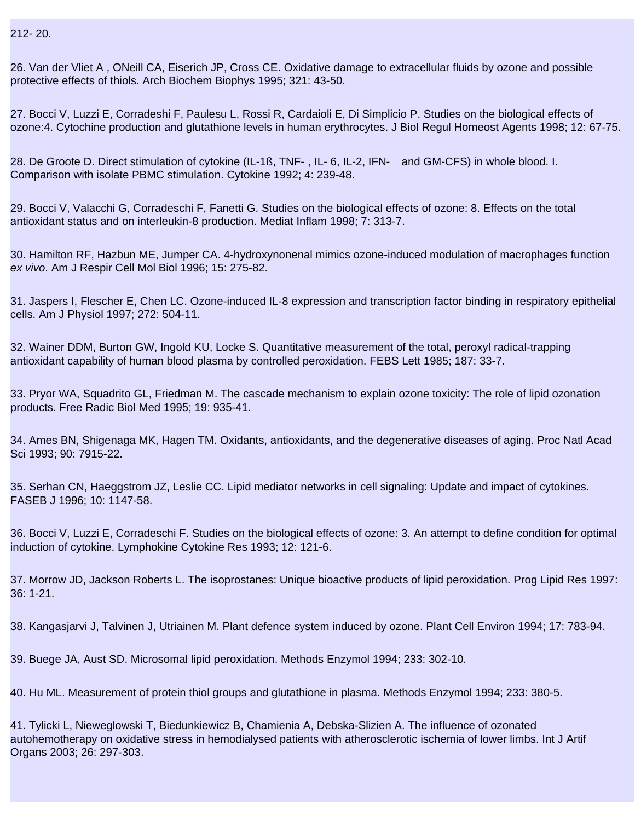212- 20.

26. Van der Vliet A , O Neill CA, Eiserich JP, Cross CE. Oxidative damage to extracellular fluids by ozone and possible protective effects of thiols. Arch Biochem Biophys 1995; 321: 43-50.

27. Bocci V, Luzzi E, Corradeshi F, Paulesu L, Rossi R, Cardaioli E, Di Simplicio P. Studies on the biological effects of ozone:4. Cytochine production and glutathione levels in human erythrocytes. J Biol Regul Homeost Agents 1998; 12: 67-75.

28. De Groote D. Direct stimulation of cytokine (IL-1ß, TNF- $\langle$ , IL-6, IL-2, IFN-© and GM-CFS) in whole blood. I. Comparison with isolate PBMC stimulation. Cytokine 1992; 4: 239-48.

29. Bocci V, Valacchi G, Corradeschi F, Fanetti G. Studies on the biological effects of ozone: 8. Effects on the total antioxidant status and on interleukin-8 production. Mediat Inflam 1998; 7: 313-7.

30. Hamilton RF, Hazbun ME, Jumper CA. 4-hydroxynonenal mimics ozone-induced modulation of macrophages function *ex vivo*. Am J Respir Cell Mol Biol 1996; 15: 275-82.

31. Jaspers I, Flescher E, Chen LC. Ozone-induced IL-8 expression and transcription factor binding in respiratory epithelial cells. Am J Physiol 1997; 272: 504-11.

32. Wainer DDM, Burton GW, Ingold KU, Locke S. Quantitative measurement of the total, peroxyl radical-trapping antioxidant capability of human blood plasma by controlled peroxidation. FEBS Lett 1985; 187: 33-7.

33. Pryor WA, Squadrito GL, Friedman M. The cascade mechanism to explain ozone toxicity: The role of lipid ozonation products. Free Radic Biol Med 1995; 19: 935-41.

34. Ames BN, Shigenaga MK, Hagen TM. Oxidants, antioxidants, and the degenerative diseases of aging. Proc Natl Acad Sci 1993; 90: 7915-22.

35. Serhan CN, Haeggstrom JZ, Leslie CC. Lipid mediator networks in cell signaling: Update and impact of cytokines. FASEB J 1996; 10: 1147-58.

36. Bocci V, Luzzi E, Corradeschi F. Studies on the biological effects of ozone: 3. An attempt to define condition for optimal induction of cytokine. Lymphokine Cytokine Res 1993; 12: 121-6.

37. Morrow JD, Jackson Roberts L. The isoprostanes: Unique bioactive products of lipid peroxidation. Prog Lipid Res 1997: 36: 1-21.

38. Kangasjarvi J, Talvinen J, Utriainen M. Plant defence system induced by ozone. Plant Cell Environ 1994; 17: 783-94.

39. Buege JA, Aust SD. Microsomal lipid peroxidation. Methods Enzymol 1994; 233: 302-10.

40. Hu ML. Measurement of protein thiol groups and glutathione in plasma. Methods Enzymol 1994; 233: 380-5.

41. Tylicki L, Nieweglowski T, Biedunkiewicz B, Chamienia A, Debska-Slizien A. The influence of ozonated autohemotherapy on oxidative stress in hemodialysed patients with atherosclerotic ischemia of lower limbs. Int J Artif Organs 2003; 26: 297-303.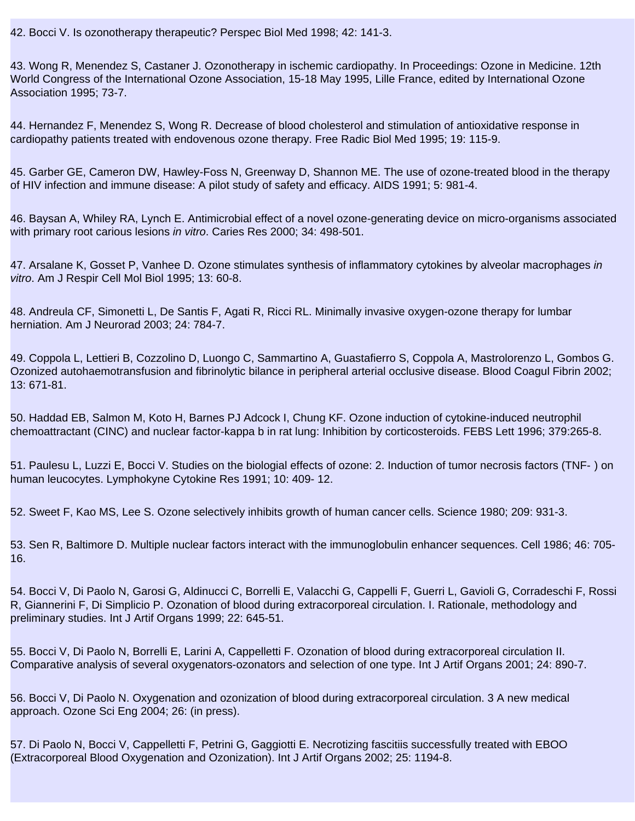42. Bocci V. Is ozonotherapy therapeutic? Perspec Biol Med 1998; 42: 141-3.

43. Wong R, Menendez S, Castaner J. Ozonotherapy in ischemic cardiopathy. In Proceedings: Ozone in Medicine. 12th World Congress of the International Ozone Association, 15-18 May 1995, Lille France, edited by International Ozone Association 1995; 73-7.

44. Hernandez F, Menendez S, Wong R. Decrease of blood cholesterol and stimulation of antioxidative response in cardiopathy patients treated with endovenous ozone therapy. Free Radic Biol Med 1995; 19: 115-9.

45. Garber GE, Cameron DW, Hawley-Foss N, Greenway D, Shannon ME. The use of ozone-treated blood in the therapy of HIV infection and immune disease: A pilot study of safety and efficacy. AIDS 1991; 5: 981-4.

46. Baysan A, Whiley RA, Lynch E. Antimicrobial effect of a novel ozone-generating device on micro-organisms associated with primary root carious lesions *in vitro*. Caries Res 2000; 34: 498-501.

47. Arsalane K, Gosset P, Vanhee D. Ozone stimulates synthesis of inflammatory cytokines by alveolar macrophages *in vitro*. Am J Respir Cell Mol Biol 1995; 13: 60-8.

48. Andreula CF, Simonetti L, De Santis F, Agati R, Ricci RL. Minimally invasive oxygen-ozone therapy for lumbar herniation. Am J Neurorad 2003; 24: 784-7.

49. Coppola L, Lettieri B, Cozzolino D, Luongo C, Sammartino A, Guastafierro S, Coppola A, Mastrolorenzo L, Gombos G. Ozonized autohaemotransfusion and fibrinolytic bilance in peripheral arterial occlusive disease. Blood Coagul Fibrin 2002; 13: 671-81.

50. Haddad EB, Salmon M, Koto H, Barnes PJ Adcock I, Chung KF. Ozone induction of cytokine-induced neutrophil chemoattractant (CINC) and nuclear factor-kappa b in rat lung: Inhibition by corticosteroids. FEBS Lett 1996; 379:265-8.

51. Paulesu L, Luzzi E, Bocci V. Studies on the biologial effects of ozone: 2. Induction of tumor necrosis factors (TNF-〈) on human leucocytes. Lymphokyne Cytokine Res 1991; 10: 409- 12.

52. Sweet F, Kao MS, Lee S. Ozone selectively inhibits growth of human cancer cells. Science 1980; 209: 931-3.

53. Sen R, Baltimore D. Multiple nuclear factors interact with the immunoglobulin enhancer sequences. Cell 1986; 46: 705- 16.

54. Bocci V, Di Paolo N, Garosi G, Aldinucci C, Borrelli E, Valacchi G, Cappelli F, Guerri L, Gavioli G, Corradeschi F, Rossi R, Giannerini F, Di Simplicio P. Ozonation of blood during extracorporeal circulation. I. Rationale, methodology and preliminary studies. Int J Artif Organs 1999; 22: 645-51.

55. Bocci V, Di Paolo N, Borrelli E, Larini A, Cappelletti F. Ozonation of blood during extracorporeal circulation II. Comparative analysis of several oxygenators-ozonators and selection of one type. Int J Artif Organs 2001; 24: 890-7.

56. Bocci V, Di Paolo N. Oxygenation and ozonization of blood during extracorporeal circulation. 3 A new medical approach. Ozone Sci Eng 2004; 26: (in press).

57. Di Paolo N, Bocci V, Cappelletti F, Petrini G, Gaggiotti E. Necrotizing fascitiis successfully treated with EBOO (Extracorporeal Blood Oxygenation and Ozonization). Int J Artif Organs 2002; 25: 1194-8.